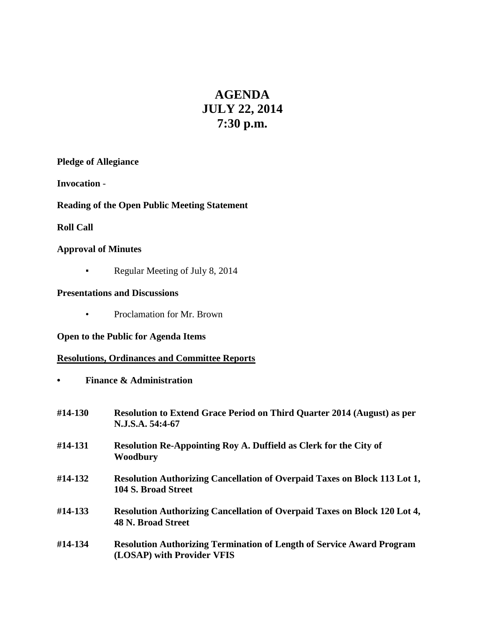# **AGENDA JULY 22, 2014 7:30 p.m.**

### **Pledge of Allegiance**

**Invocation** -

### **Reading of the Open Public Meeting Statement**

**Roll Call**

# **Approval of Minutes**

**•** Regular Meeting of July 8, 2014

### **Presentations and Discussions**

• Proclamation for Mr. Brown

# **Open to the Public for Agenda Items**

# **Resolutions, Ordinances and Committee Reports**

**• Finance & Administration**

| #14-130 | Resolution to Extend Grace Period on Third Quarter 2014 (August) as per<br>N.J.S.A. 54:4-67                |
|---------|------------------------------------------------------------------------------------------------------------|
| #14-131 | <b>Resolution Re-Appointing Roy A. Duffield as Clerk for the City of</b><br>Woodbury                       |
| #14-132 | Resolution Authorizing Cancellation of Overpaid Taxes on Block 113 Lot 1,<br>104 S. Broad Street           |
| #14-133 | Resolution Authorizing Cancellation of Overpaid Taxes on Block 120 Lot 4,<br>48 N. Broad Street            |
| #14-134 | <b>Resolution Authorizing Termination of Length of Service Award Program</b><br>(LOSAP) with Provider VFIS |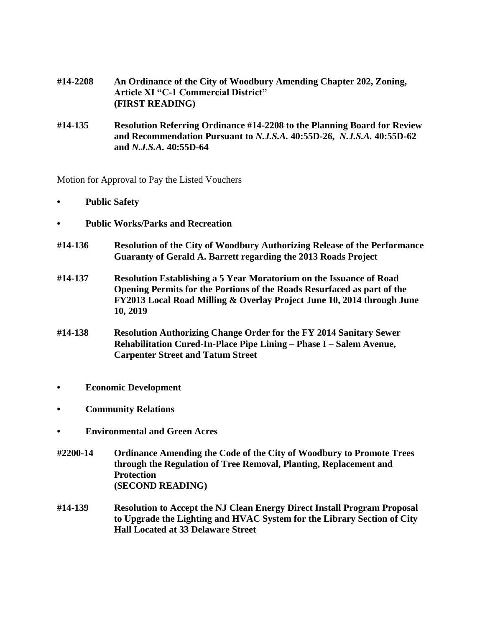- **#14-2208 An Ordinance of the City of Woodbury Amending Chapter 202, Zoning, Article XI "C-1 Commercial District" (FIRST READING)**
- **#14-135 Resolution Referring Ordinance #14-2208 to the Planning Board for Review and Recommendation Pursuant to** *N.J.S.A.* **40:55D-26,** *N.J.S.A.* **40:55D-62 and** *N.J.S.A.* **40:55D-64**

Motion for Approval to Pay the Listed Vouchers

- **• Public Safety**
- **• Public Works/Parks and Recreation**
- **#14-136 Resolution of the City of Woodbury Authorizing Release of the Performance Guaranty of Gerald A. Barrett regarding the 2013 Roads Project**
- **#14-137 Resolution Establishing a 5 Year Moratorium on the Issuance of Road Opening Permits for the Portions of the Roads Resurfaced as part of the FY2013 Local Road Milling & Overlay Project June 10, 2014 through June 10, 2019**
- **#14-138 Resolution Authorizing Change Order for the FY 2014 Sanitary Sewer Rehabilitation Cured-In-Place Pipe Lining – Phase I – Salem Avenue, Carpenter Street and Tatum Street**
- **• Economic Development**
- **• Community Relations**
- **• Environmental and Green Acres**
- **#2200-14 Ordinance Amending the Code of the City of Woodbury to Promote Trees through the Regulation of Tree Removal, Planting, Replacement and Protection (SECOND READING)**
- **#14-139 Resolution to Accept the NJ Clean Energy Direct Install Program Proposal to Upgrade the Lighting and HVAC System for the Library Section of City Hall Located at 33 Delaware Street**